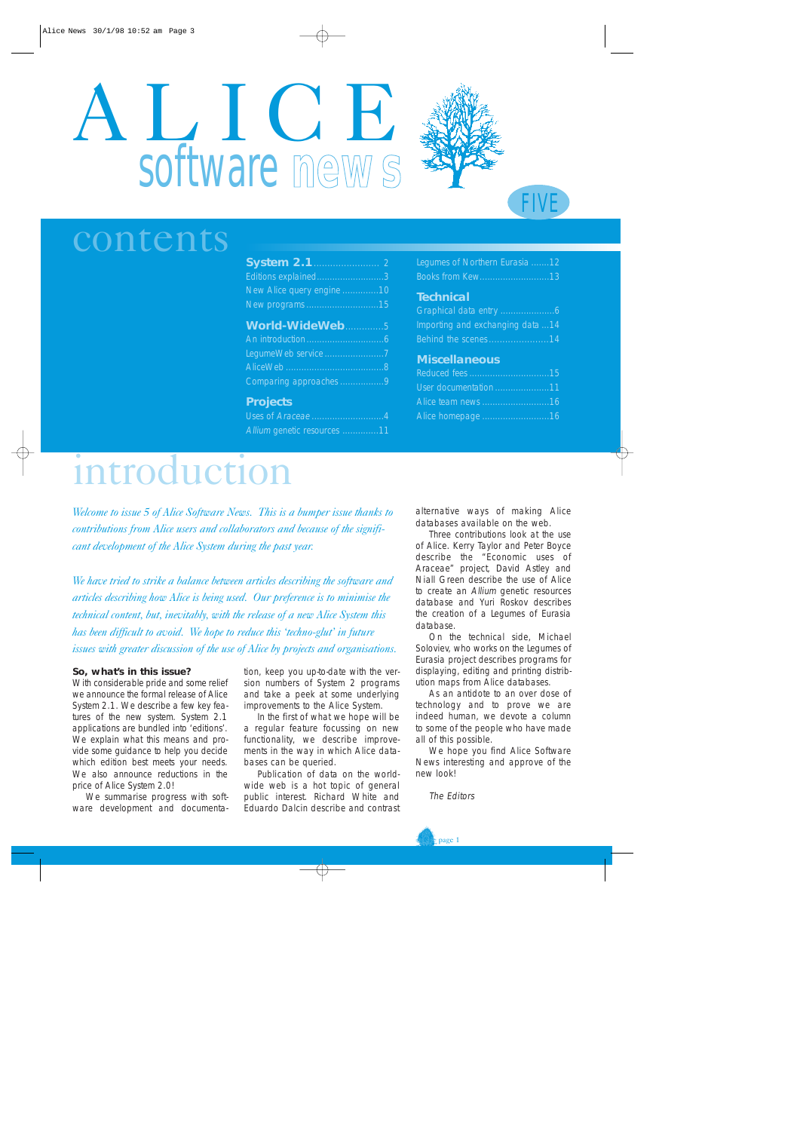# ALICE software **news**



# contents

| Editions explained3       |
|---------------------------|
| New Alice query engine 10 |
| New programs 15           |
| World-WideWeb5            |
|                           |
| LegumeWeb service 7       |
|                           |
| Comparing approaches 9    |
| <b>Projects</b>           |

Uses of Araceae ....................... Allium genetic resources ..............11

| Legumes of Northern Eurasia12 |  |  |
|-------------------------------|--|--|
| Books from Kew13              |  |  |

FIVE

#### **Technical**

| Importing and exchanging data 14 |
|----------------------------------|
| Behind the scenes14              |

#### **Miscellaneous**

| User documentation 11 |  |
|-----------------------|--|
| Alice team news 16    |  |
| Alice homepage 16     |  |

# introduction

*Welcome to issue 5 of Alice Software News. This is a bumper issue thanks to contributions from Alice users and collaborators and because of the significant development of the Alice System during the past year.*

*We have tried to strike a balance between articles describing the software and articles describing how Alice is being used. Our preference is to minimise the technical content, but, inevitably, with the release of a new Alice System this has been difficult to avoid. We hope to reduce this 'techno-glut' in future issues with greater discussion of the use of Alice by projects and organisations.*

#### **So, what's in this issue?**

With considerable pride and some relief we announce the formal release of Alice System 2.1. We describe a few key features of the new system. System 2.1 applications are bundled into 'editions'. We explain what this means and provide some guidance to help you decide which edition best meets your needs. We also announce reductions in the price of Alice System 2.0!

We summarise progress with software development and documenta-

tion, keep you up-to-date with the version numbers of System 2 programs and take a peek at some underlying improvements to the Alice System.

In the first of what we hope will be a regular feature focussing on new functionality, we describe improvements in the way in which Alice databases can be queried.

Publication of data on the worldwide web is a hot topic of general public interest. Richard White and Eduardo Dalcin describe and contrast

alternative ways of making Alice databases available on the web.

Three contributions look at the use of Alice. Kerry Taylor and Peter Boyce describe the "Economic uses of Araceae" project, David Astley and Niall Green describe the use of Alice to create an Allium genetic resources database and Yuri Roskov describes the creation of a Legumes of Eurasia database.

On the technical side, Michael Soloviev, who works on the Legumes of Eurasia project describes programs for displaying, editing and printing distribution maps from Alice databases.

As an antidote to an over dose of technology and to prove we are indeed human, we devote a column to some of the people who have made all of this possible.

We hope you find Alice Software News interesting and approve of the new look!

The Editors

 $\epsilon$  page 1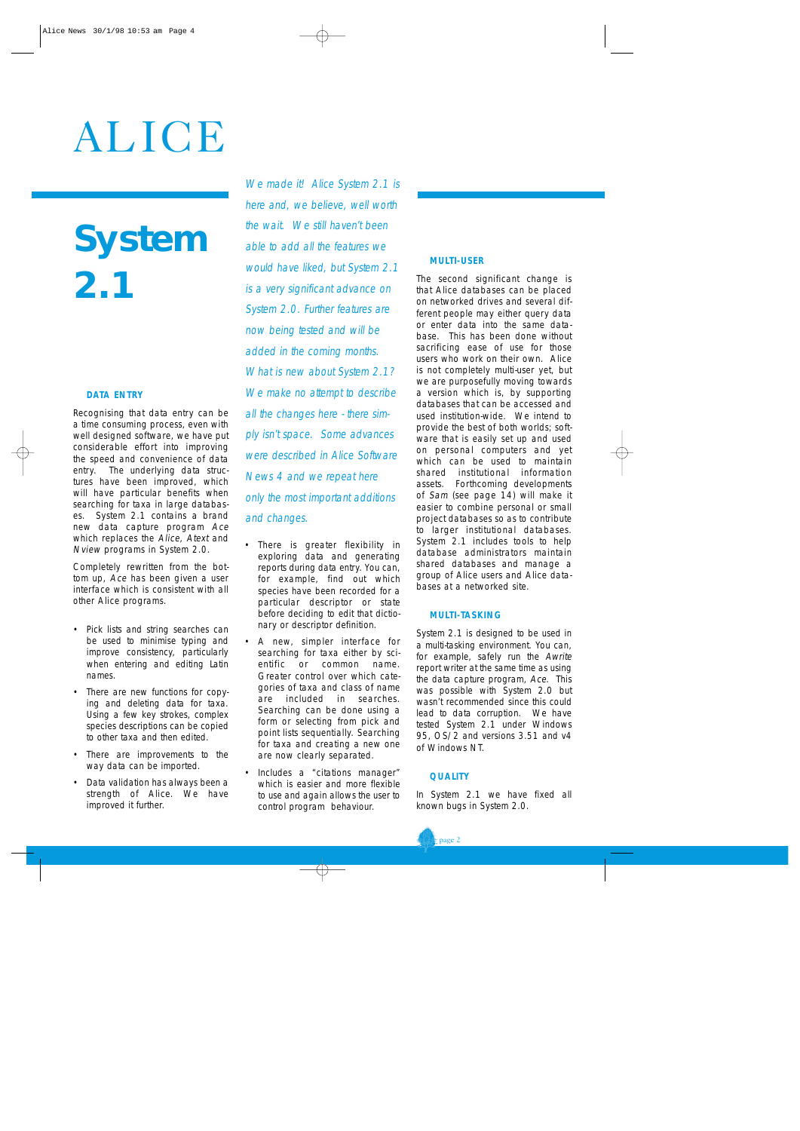# ALICE

# **System 2.1**

#### **DATA ENTRY**

Recognising that data entry can be a time consuming process, even with well designed software, we have put considerable effort into improving the speed and convenience of data entry. The underlying data structures have been improved, which will have particular benefits when searching for taxa in large databases. System 2.1 contains a brand new data capture program Ace which replaces the Alice, Atext and Nview programs in System 2.0.

Completely rewritten from the bottom up, Ace has been given a user interface which is consistent with all other Alice programs.

- Pick lists and string searches can be used to minimise typing and improve consistency, particularly when entering and editing Latin names.
- There are new functions for copying and deleting data for taxa. Using a few key strokes, complex species descriptions can be copied to other taxa and then edited.
- There are improvements to the way data can be imported.
- Data validation has always been a strength of Alice. We have improved it further.

We made it! Alice System 2.1 is here and, we believe, well worth the wait. We still haven't been able to add all the features we would have liked, but System 2.1 is a very significant advance on System 2.0. Further features are now being tested and will be added in the coming months. What is new about System 2.1? We make no attempt to describe all the changes here - there simply isn't space. Some advances were described in Alice Software News 4 and we repeat here only the most important additions and changes.

- There is greater flexibility in exploring data and generating reports during data entry. You can, for example, find out which species have been recorded for a particular descriptor or state before deciding to edit that dictionary or descriptor definition.
- A new, simpler interface for searching for taxa either by scientific or common name. Greater control over which categories of taxa and class of name are included in searches. Searching can be done using a form or selecting from pick and point lists sequentially. Searching for taxa and creating a new one are now clearly separated.
- Includes a "citations manager" which is easier and more flexible to use and again allows the user to control program behaviour.

#### **MULTI-USER**

The second significant change is that Alice databases can be placed on networked drives and several different people may either query data or enter data into the same database. This has been done without sacrificing ease of use for those users who work on their own. Alice is not completely multi-user yet, but we are purposefully moving towards a version which is, by supporting databases that can be accessed and used institution-wide. We intend to provide the best of both worlds; software that is easily set up and used on personal computers and yet which can be used to maintain shared institutional information assets. Forthcoming developments of Sam (see page 14) will make it easier to combine personal or small project databases so as to contribute to larger institutional databases. System 2.1 includes tools to help database administrators maintain shared databases and manage a group of Alice users and Alice databases at a networked site.

#### **MULTI-TASKING**

System 2.1 is designed to be used in a multi-tasking environment. You can, for example, safely run the Awrite report writer at the same time as using the data capture program, Ace. This was possible with System 2.0 but wasn't recommended since this could lead to data corruption. We have tested System 2.1 under Windows 95, OS/2 and versions 3.51 and v4 of Windows NT.

#### **QUALITY**

In System 2.1 we have fixed all known bugs in System 2.0.

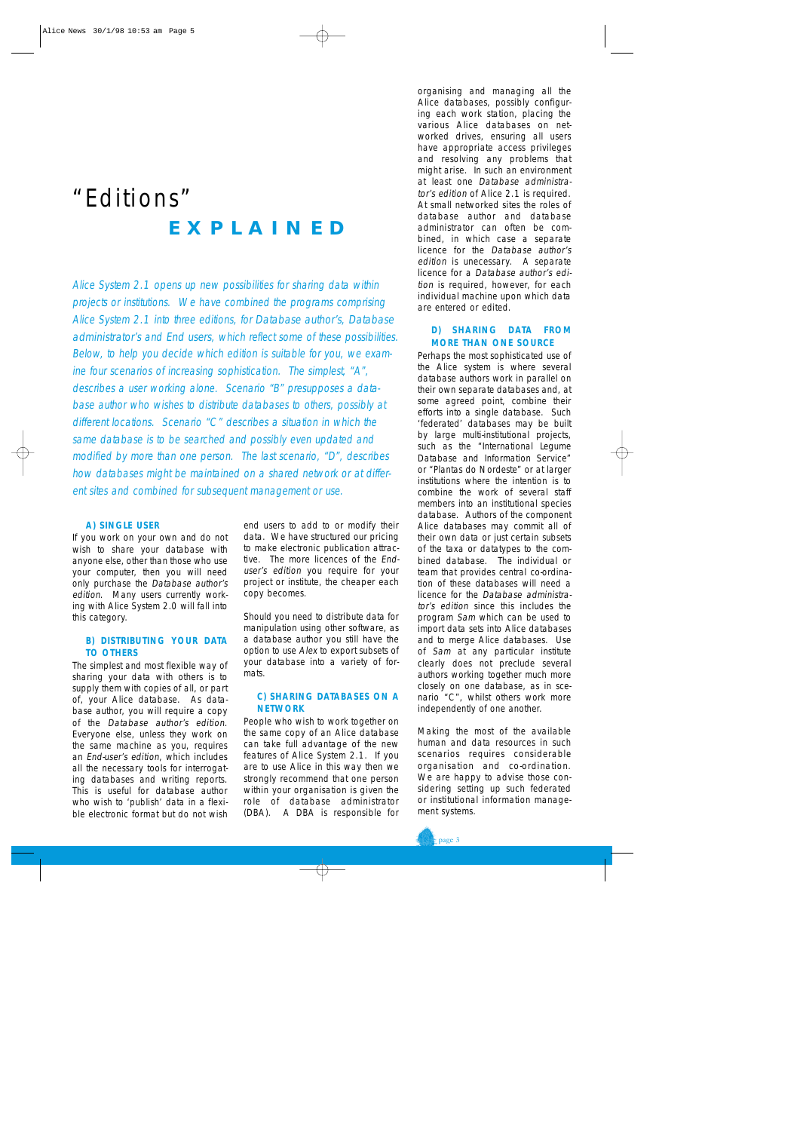### "Editions" **EXPLAINED**

Alice System 2.1 opens up new possibilities for sharing data within projects or institutions. We have combined the programs comprising Alice System 2.1 into three editions, for Database author's, Database administrator's and End users, which reflect some of these possibilities. Below, to help you decide which edition is suitable for you, we examine four scenarios of increasing sophistication. The simplest, "A", describes a user working alone. Scenario "B" presupposes a database author who wishes to distribute databases to others, possibly at different locations. Scenario "C" describes a situation in which the same database is to be searched and possibly even updated and modified by more than one person. The last scenario, "D", describes how databases might be maintained on a shared network or at different sites and combined for subsequent management or use.

#### **A) SINGLE USER**

If you work on your own and do not wish to share your database with anyone else, other than those who use your computer, then you will need only purchase the Database author's edition. Many users currently working with Alice System 2.0 will fall into this category.

#### **B) DISTRIBUTING YOUR DATA TO OTHERS**

The simplest and most flexible way of sharing your data with others is to supply them with copies of all, or part of, your Alice database. As database author, you will require a copy of the Database author's edition. Everyone else, unless they work on the same machine as you, requires an End-user's edition, which includes all the necessary tools for interrogating databases and writing reports. This is useful for database author who wish to 'publish' data in a flexible electronic format but do not wish end users to add to or modify their data. We have structured our pricing to make electronic publication attractive. The more licences of the Enduser's edition you require for your project or institute, the cheaper each copy becomes.

Should you need to distribute data for manipulation using other software, as a database author you still have the option to use Alex to export subsets of your database into a variety of formats.

#### **C) SHARING DATABASES ON A NETWORK**

People who wish to work together on the same copy of an Alice database can take full advantage of the new features of Alice System 2.1. If you are to use Alice in this way then we strongly recommend that one person within your organisation is given the role of database administrator (DBA). A DBA is responsible for

organising and managing all the Alice databases, possibly configuring each work station, placing the various Alice databases on networked drives, ensuring all users have appropriate access privileges and resolving any problems that might arise. In such an environment at least one Database administrator's edition of Alice 2.1 is required. At small networked sites the roles of database author and database administrator can often be combined, in which case a separate licence for the Database author's edition is unecessary. A separate licence for a Database author's edition is required, however, for each individual machine upon which data are entered or edited.

#### **D) SHARING DATA FROM MORE THAN ONE SOURCE**

Perhaps the most sophisticated use of the Alice system is where several database authors work in parallel on their own separate databases and, at some agreed point, combine their efforts into a single database. Such 'federated' databases may be built by large multi-institutional projects, such as the "International Legume Database and Information Service" or "Plantas do Nordeste" or at larger institutions where the intention is to combine the work of several staff members into an institutional species database. Authors of the component Alice databases may commit all of their own data or just certain subsets of the taxa or datatypes to the combined database. The individual or team that provides central co-ordination of these databases will need a licence for the Database administrator's edition since this includes the program Sam which can be used to import data sets into Alice databases and to merge Alice databases. Use of Sam at any particular institute clearly does not preclude several authors working together much more closely on one database, as in scenario "C", whilst others work more independently of one another.

Making the most of the available human and data resources in such scenarios requires considerable organisation and co-ordination. We are happy to advise those considering setting up such federated or institutional information management systems.

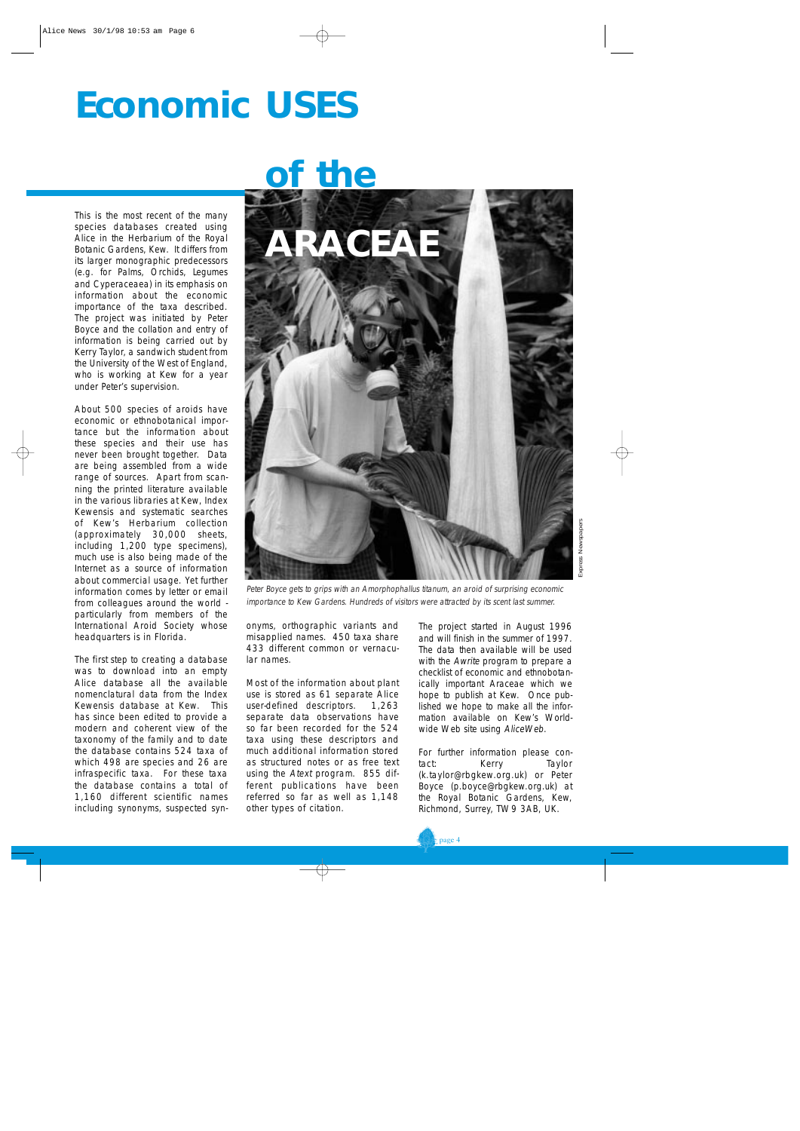# **Economic USES**

This is the most recent of the many species databases created using Alice in the Herbarium of the Royal Botanic Gardens, Kew. It differs from its larger monographic predecessors (e.g. for Palms, Orchids, Legumes and Cyperaceaea) in its emphasis on information about the economic importance of the taxa described. The project was initiated by Peter Boyce and the collation and entry of information is being carried out by Kerry Taylor, a sandwich student from the University of the West of England, who is working at Kew for a year under Peter's supervision.

About 500 species of aroids have economic or ethnobotanical importance but the information about these species and their use has never been brought together. Data are being assembled from a wide range of sources. Apart from scanning the printed literature available in the various libraries at Kew, Index Kewensis and systematic searches of Kew's Herbarium collection (approximately 30,000 sheets, including 1,200 type specimens), much use is also being made of the Internet as a source of information about commercial usage. Yet further information comes by letter or email from colleagues around the world particularly from members of the International Aroid Society whose headquarters is in Florida.

The first step to creating a database was to download into an empty Alice database all the available nomenclatural data from the Index Kewensis database at Kew. This has since been edited to provide a modern and coherent view of the taxonomy of the family and to date the database contains 524 taxa of which 498 are species and 26 are infraspecific taxa. For these taxa the database contains a total of 1,160 different scientific names including synonyms, suspected syn-

# **of the**



Peter Boyce gets to grips with an Amorphophallus titanum, an aroid of surprising economic importance to Kew Gardens. Hundreds of visitors were attracted by its scent last summer.

onyms, orthographic variants and misapplied names. 450 taxa share 433 different common or vernacular names.

Most of the information about plant use is stored as 61 separate Alice user-defined descriptors. 1,263 separate data observations have so far been recorded for the 524 taxa using these descriptors and much additional information stored as structured notes or as free text using the Atext program. 855 different publications have been referred so far as well as 1,148 other types of citation.

The project started in August 1996 and will finish in the summer of 1997. The data then available will be used with the Awrite program to prepare a checklist of economic and ethnobotanically important Araceae which we hope to publish at Kew. Once published we hope to make all the information available on Kew's Worldwide Web site using AliceWeb.

For further information please contact: Kerry Taylor (k.taylor@rbgkew.org.uk) or Peter Boyce (p.boyce@rbgkew.org.uk) at the Royal Botanic Gardens, Kew, Richmond, Surrey, TW9 3AB, UK.

page 4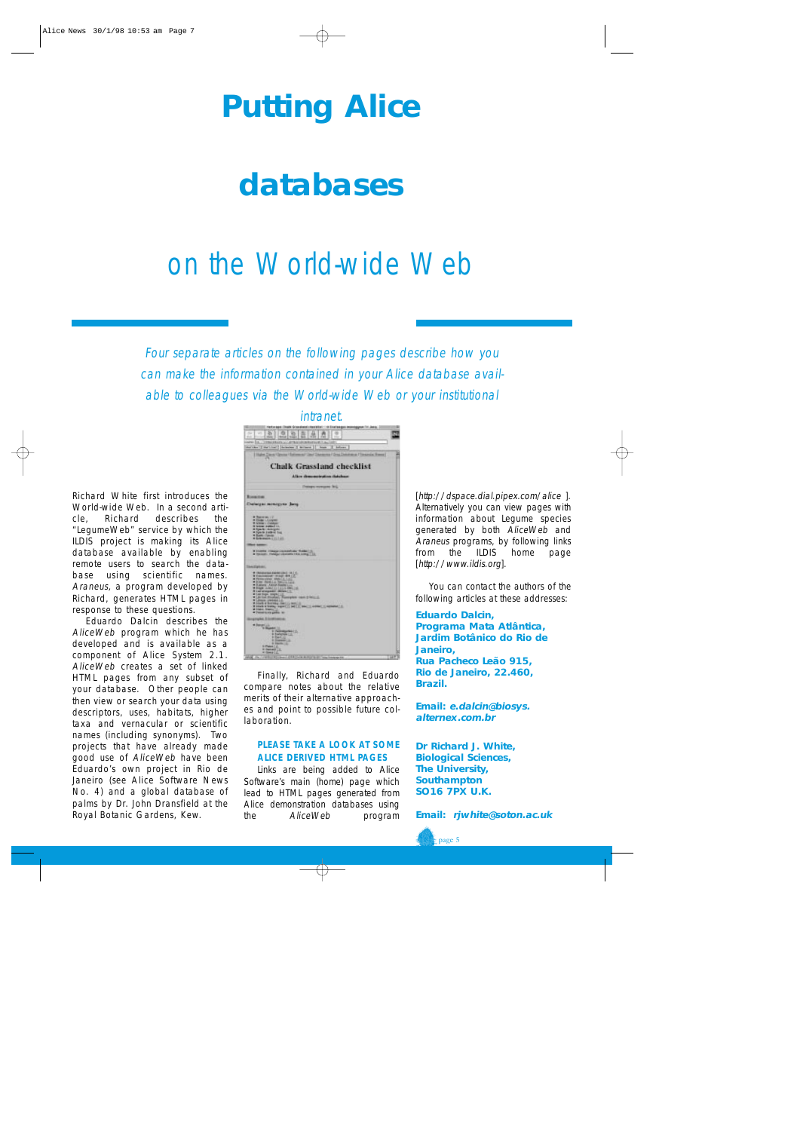# **Putting Alice**

# **databases**

# on the World-wide Web

Four separate articles on the following pages describe how you can make the information contained in your Alice database available to colleagues via the World-wide Web or your institutional

intranet.

Richard White first introduces the World-wide Web. In a second article, Richard describes the "LegumeWeb" service by which the ILDIS project is making its Alice database available by enabling remote users to search the database using scientific names. Araneus, a program developed by Richard, generates HTML pages in response to these questions.

Eduardo Dalcin describes the AliceWeb program which he has developed and is available as a component of Alice System 2.1. AliceWeb creates a set of linked HTML pages from any subset of your database. Other people can then view or search your data using descriptors, uses, habitats, higher taxa and vernacular or scientific names (including synonyms). Two projects that have already made good use of AliceWeb have been Eduardo's own project in Rio de Janeiro (see Alice Software News No. 4) and a global database of palms by Dr. John Dransfield at the Royal Botanic Gardens, Kew.

| $\sim$<br>-<br><b>Side</b>                                                                                                                                                                                                                                                                                                                                                                                                                                                              |  |
|-----------------------------------------------------------------------------------------------------------------------------------------------------------------------------------------------------------------------------------------------------------------------------------------------------------------------------------------------------------------------------------------------------------------------------------------------------------------------------------------|--|
| <b><i><u>Seriester</u></i></b><br>inform.<br><b>If you have</b><br>share subset of<br><b>Contract</b><br>a l'Iteramia, france i<br>ı<br>⊶                                                                                                                                                                                                                                                                                                                                               |  |
| <b>Chalk Grassland checklist</b><br>Allian demonstration distributo                                                                                                                                                                                                                                                                                                                                                                                                                     |  |
| per recommends Tart.                                                                                                                                                                                                                                                                                                                                                                                                                                                                    |  |
| <b>Roomcomm</b><br>Chatanges monogyne Sang-                                                                                                                                                                                                                                                                                                                                                                                                                                             |  |
| <b>Williams Boy 17</b><br>· Elegan LA Lingview<br><b>M. Greener 1 Electronic</b><br>18 Notice is attack it.<br>A Spirite Librarystic<br>a Spacia Antimot Tool<br>· Horn Cynter<br>* Schrangen L. L. Luck                                                                                                                                                                                                                                                                                |  |
| I truck chappins and a field !!<br>& Tokington Professor valuated to 1 Kin Linking<br>и                                                                                                                                                                                                                                                                                                                                                                                                 |  |
| Total Exhibit.<br># Children and Alabam Life (2 19) 210<br><b>REQUIREMENT STAGE REN LET</b><br>a researcher world, 149.<br>* Row, Barm L.C. Town L.C. Lat.)<br>* Rations LABOR Room LLL<br>W Ringler Linders (1) 1315 E. Bleis,<br>×<br>The Contract House Company came it below it<br>. Journal competition in the<br>at block is thorning. (Sky) Ly Nov.<br>IN DEATH OF SHERING AND RELEASED FOR<br><b><i>USE COMPANY IS</i></b><br>a travi. Swin, J.<br>W Discount is now gamboy. No |  |
| graha Elettimora<br>* Davantus<br>to Magaster, Ltd.<br>11 Norwayne 4 E.<br>is budgetive L.E.<br><b>A Dertill</b><br><b>6 Stewart Co.</b><br>9. Parents   (L)<br>St Plate L.C.<br>a newell 12.<br>is those Life.                                                                                                                                                                                                                                                                         |  |

Finally, Richard and Eduardo compare notes about the relative merits of their alternative approaches and point to possible future collaboration.

#### **PLEASE TAKE A LOOK AT SOME ALICE DERIVED HTML PAGES**

Links are being added to Alice Software's main (home) page which lead to HTML pages generated from Alice demonstration databases using the AliceWeb program

[http://dspace.dial.pipex.com/alice ]. Alternatively you can view pages with information about Legume species generated by both AliceWeb and Araneus programs, by following links from the ILDIS home page [http://www.ildis.org].

You can contact the authors of the following articles at these addresses:

#### **Eduardo Dalcin, Programa Mata Atlântica, Jardim Botânico do Rio de Janeiro, Rua Pacheco Leão 915, Rio de Janeiro, 22.460, Brazil.**

**Email: e.dalcin@biosys. alternex.com.br**

**Dr Richard J. White, Biological Sciences, The University, Southampton SO16 7PX U.K.** 

**Email: rjwhite@soton.ac.uk**

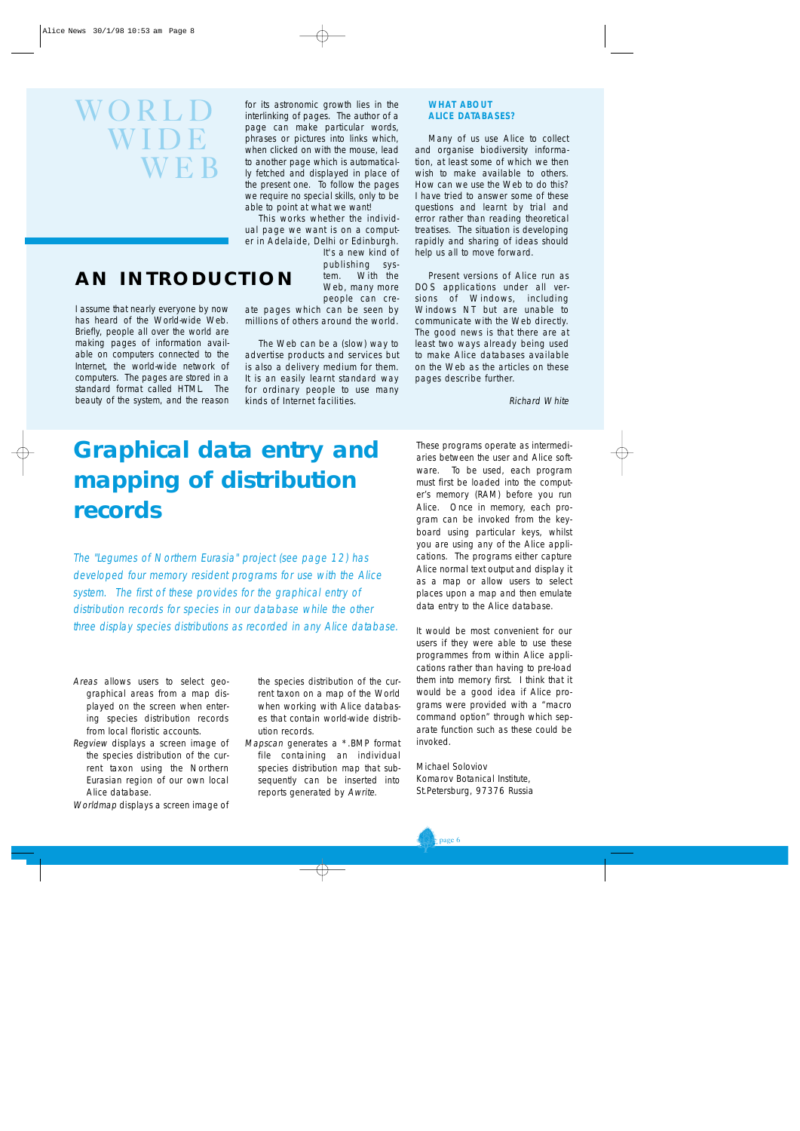# WORLD WIDE  $\mathbf W\mathbf E\mathbf B$

I assume that nearly everyone by now has heard of the World-wide Web. Briefly, people all over the world are making pages of information available on computers connected to the Internet, the world-wide network of computers. The pages are stored in a standard format called HTML. The beauty of the system, and the reason

**AN INTRODUCTION**

for its astronomic growth lies in the interlinking of pages. The author of a page can make particular words, phrases or pictures into links which, when clicked on with the mouse, lead to another page which is automatically fetched and displayed in place of the present one. To follow the pages we require no special skills, only to be able to point at what we want!

This works whether the individual page we want is on a computer in Adelaide, Delhi or Edinburgh.

It's a new kind of publishing system. With the Web, many more people can cre-

ate pages which can be seen by millions of others around the world.

The Web can be a (slow) way to advertise products and services but is also a delivery medium for them. It is an easily learnt standard way for ordinary people to use many kinds of Internet facilities.

#### WHAT ABOUT **ALICE DATABASES?**

Many of us use Alice to collect and organise biodiversity information, at least some of which we then wish to make available to others. How can we use the Web to do this? I have tried to answer some of these questions and learnt by trial and error rather than reading theoretical treatises. The situation is developing rapidly and sharing of ideas should help us all to move forward.

Present versions of Alice run as DOS applications under all versions of Windows, including Windows NT but are unable to communicate with the Web directly. The good news is that there are at least two ways already being used to make Alice databases available on the Web as the articles on these pages describe further.

Richard White

## **Graphical data entry and mapping of distribution records**

The "Legumes of Northern Eurasia" project (see page 12) has developed four memory resident programs for use with the Alice system. The first of these provides for the graphical entry of distribution records for species in our database while the other three display species distributions as recorded in any Alice database.

- Areas allows users to select geographical areas from a map displayed on the screen when entering species distribution records from local floristic accounts.
- Regview displays a screen image of the species distribution of the current taxon using the Northern Eurasian region of our own local Alice database.
- Worldmap displays a screen image of

the species distribution of the current taxon on a map of the World when working with Alice databases that contain world-wide distribution records.

Mapscan generates a \*.BMP format file containing an individual species distribution map that subsequently can be inserted into reports generated by Awrite.

These programs operate as intermediaries between the user and Alice software. To be used, each program must first be loaded into the computer's memory (RAM) before you run Alice. Once in memory, each program can be invoked from the keyboard using particular keys, whilst you are using any of the Alice applications. The programs either capture Alice normal text output and display it as a map or allow users to select places upon a map and then emulate data entry to the Alice database.

It would be most convenient for our users if they were able to use these programmes from within Alice applications rather than having to pre-load them into memory first. I think that it would be a good idea if Alice programs were provided with a "macro command option" through which separate function such as these could be invoked.

Michael Soloviov Komarov Botanical Institute, St.Petersburg, 97376 Russia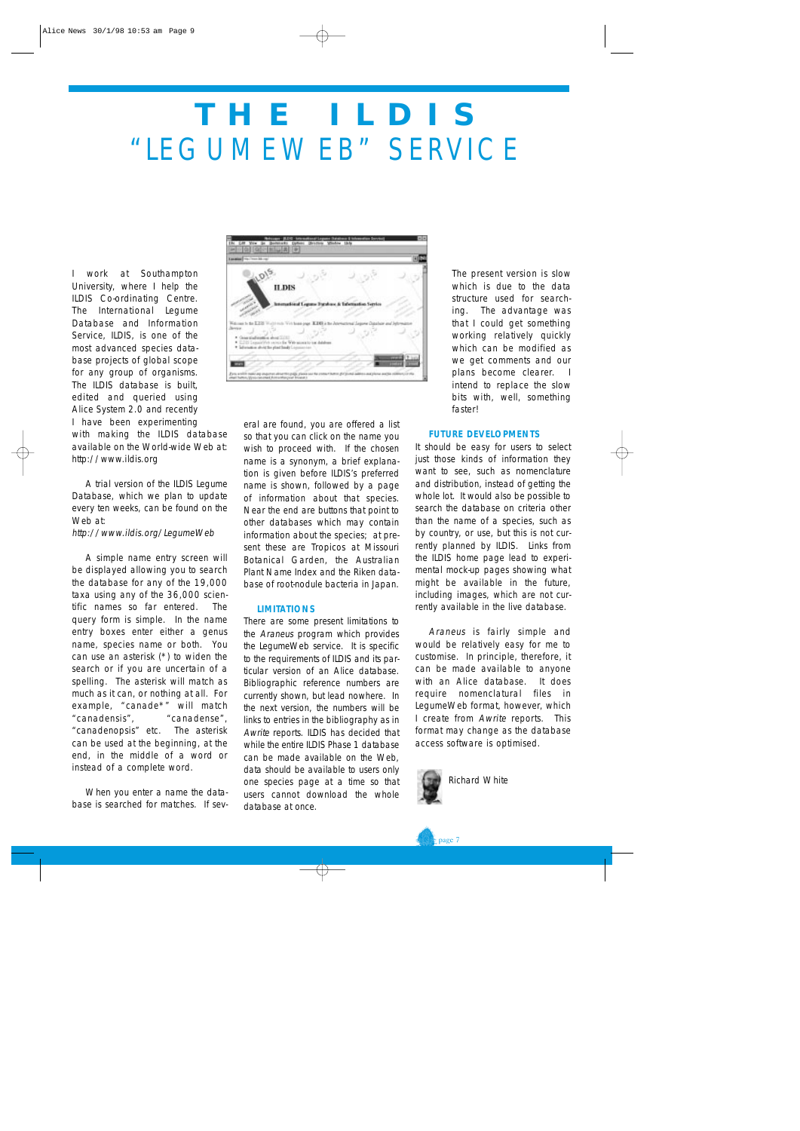# **THE ILDIS**  "LEGUMEWEB" SERVICE

I work at Southampton University, where I help the ILDIS Co-ordinating Centre. The International Legume Database and Information Service, ILDIS, is one of the most advanced species database projects of global scope for any group of organisms. The ILDIS database is built, edited and queried using Alice System 2.0 and recently I have been experimenting with making the ILDIS database available on the World-wide Web at: http://www.ildis.org

A trial version of the ILDIS Legume Database, which we plan to update every ten weeks, can be found on the Web at:

#### http://www.ildis.org/LegumeWeb

A simple name entry screen will be displayed allowing you to search the database for any of the 19,000 taxa using any of the 36,000 scientific names so far entered. The query form is simple. In the name entry boxes enter either a genus name, species name or both. You can use an asterisk (\*) to widen the search or if you are uncertain of a spelling. The asterisk will match as much as it can, or nothing at all. For example, "canade\*" will match "canadensis", "canadense", "canadenopsis" etc. The asterisk can be used at the beginning, at the end, in the middle of a word or instead of a complete word.

When you enter a name the database is searched for matches. If sev-

| Language 1994, Three Adviser                                                                                                                              |               |
|-----------------------------------------------------------------------------------------------------------------------------------------------------------|---------------|
| $10^{12}$<br><b>ILDIS</b><br>ans Furshave & Infermation Service<br>tematical Leg                                                                          |               |
| wild made West Texas page<br>IL DES à Soc Jaterro<br><b>Bryace</b><br>* One sinfants a shot (178)<br>. E20 Legan Web same for With access to use debress. |               |
| * Information about the plant hands Logon                                                                                                                 | <b>THE FE</b> |

eral are found, you are offered a list so that you can click on the name you wish to proceed with. If the chosen name is a synonym, a brief explanation is given before ILDIS's preferred name is shown, followed by a page of information about that species. Near the end are buttons that point to other databases which may contain information about the species; at present these are Tropicos at Missouri Botanical Garden, the Australian Plant Name Index and the Riken database of root-nodule bacteria in Japan.

#### **LIMITATIONS**

There are some present limitations to the Araneus program which provides the LegumeWeb service. It is specific to the requirements of ILDIS and its particular version of an Alice database. Bibliographic reference numbers are currently shown, but lead nowhere. In the next version, the numbers will be links to entries in the bibliography as in Awrite reports. ILDIS has decided that while the entire ILDIS Phase 1 database can be made available on the Web. data should be available to users only one species page at a time so that users cannot download the whole database at once.

The present version is slow which is due to the data structure used for searching. The advantage was that I could get something working relatively quickly which can be modified as we get comments and our plans become clearer. I intend to replace the slow bits with, well, something faster!

#### **FUTURE DEVELOPMENTS**

It should be easy for users to select just those kinds of information they want to see, such as nomenclature and distribution, instead of getting the whole lot. It would also be possible to search the database on criteria other than the name of a species, such as by country, or use, but this is not currently planned by ILDIS. Links from the ILDIS home page lead to experimental mock-up pages showing what might be available in the future, including images, which are not currently available in the live database.

Araneus is fairly simple and would be relatively easy for me to customise. In principle, therefore, it can be made available to anyone with an Alice database. It does require nomenclatural files in LegumeWeb format, however, which I create from Awrite reports. This format may change as the database access software is optimised.



 $\epsilon$  page 7

Richard White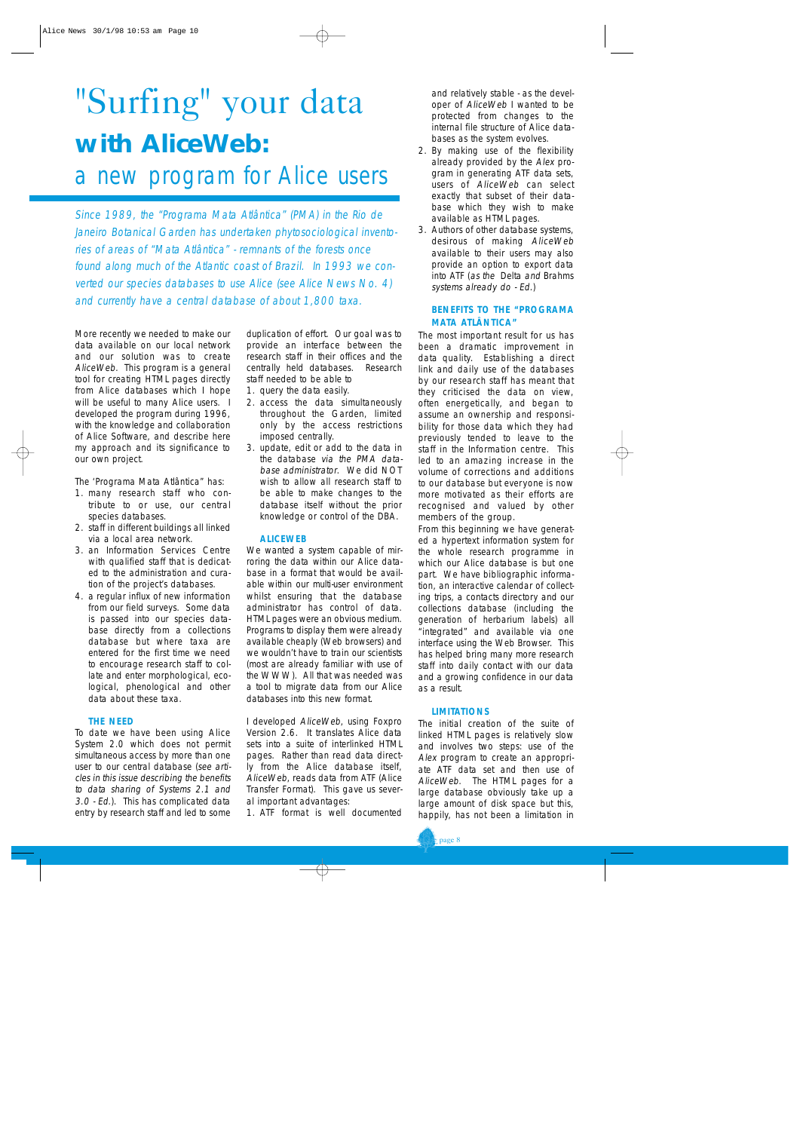# "Surfing" your data **with AliceWeb:**

### a new program for Alice users

Since 1989, the "Programa Mata Atlântica" (PMA) in the Rio de Janeiro Botanical Garden has undertaken phytosociological inventories of areas of "Mata Atlântica" - remnants of the forests once found along much of the Atlantic coast of Brazil. In 1993 we converted our species databases to use Alice (see Alice News No. 4) and currently have a central database of about 1,800 taxa.

More recently we needed to make our data available on our local network and our solution was to create AliceWeb. This program is a general tool for creating HTML pages directly from Alice databases which I hope will be useful to many Alice users. I developed the program during 1996, with the knowledge and collaboration of Alice Software, and describe here my approach and its significance to our own project.

The 'Programa Mata Atlântica" has:

- 1. many research staff who contribute to or use, our central species databases.
- 2. staff in different buildings all linked via a local area network.
- 3. an Information Services Centre with qualified staff that is dedicated to the administration and curation of the project's databases.
- 4. a regular influx of new information from our field surveys. Some data is passed into our species database directly from a collections database but where taxa are entered for the first time we need to encourage research staff to collate and enter morphological, ecological, phenological and other data about these taxa.

#### **THE NEED**

To date we have been using Alice System 2.0 which does not permit simultaneous access by more than one user to our central database (see articles in this issue describing the benefits to data sharing of Systems 2.1 and 3.0 - Ed.). This has complicated data entry by research staff and led to some duplication of effort. Our goal was to provide an interface between the research staff in their offices and the centrally held databases. Research staff needed to be able to

- 1. query the data easily.
- 2. access the data simultaneously throughout the Garden, limited only by the access restrictions imposed centrally.
- 3. update, edit or add to the data in the database via the PMA database administrator. We did NOT wish to allow all research staff to be able to make changes to the database itself without the prior knowledge or control of the DBA.

#### **ALICEWEB**

We wanted a system capable of mirroring the data within our Alice database in a format that would be available within our multi-user environment whilst ensuring that the database administrator has control of data. HTML pages were an obvious medium. Programs to display them were already available cheaply (Web browsers) and we wouldn't have to train our scientists (most are already familiar with use of the WWW). All that was needed was a tool to migrate data from our Alice databases into this new format.

I developed AliceWeb, using Foxpro Version 2.6. It translates Alice data sets into a suite of interlinked HTML pages. Rather than read data directly from the Alice database itself, AliceWeb, reads data from ATF (Alice Transfer Format). This gave us several important advantages:

1. ATF format is well documented

and relatively stable - as the developer of AliceWeb I wanted to be protected from changes to the internal file structure of Alice databases as the system evolves.

- 2. By making use of the flexibility already provided by the Alex program in generating ATF data sets, users of AliceWeb can select exactly that subset of their database which they wish to make available as HTML pages.
- 3. Authors of other database systems, desirous of making AliceWeb available to their users may also provide an option to export data into ATF (as the Delta and Brahms systems already do - Ed.)

#### **BENEFITS TO THE "PROGRAMA MATA ATLÂNTICA"**

The most important result for us has been a dramatic improvement in data quality. Establishing a direct link and daily use of the databases by our research staff has meant that they criticised the data on view, often energetically, and began to assume an ownership and responsibility for those data which they had previously tended to leave to the staff in the Information centre. This led to an amazing increase in the volume of corrections and additions to our database but everyone is now more motivated as their efforts are recognised and valued by other members of the group.

From this beginning we have generated a hypertext information system for the whole research programme in which our Alice database is but one part. We have bibliographic information, an interactive calendar of collecting trips, a contacts directory and our collections database (including the generation of herbarium labels) all "integrated" and available via one interface using the Web Browser. This has helped bring many more research staff into daily contact with our data and a growing confidence in our data as a result.

#### **LIMITATIONS**

The initial creation of the suite of linked HTML pages is relatively slow and involves two steps: use of the Alex program to create an appropriate ATF data set and then use of AliceWeb. The HTML pages for a large database obviously take up a large amount of disk space but this, happily, has not been a limitation in

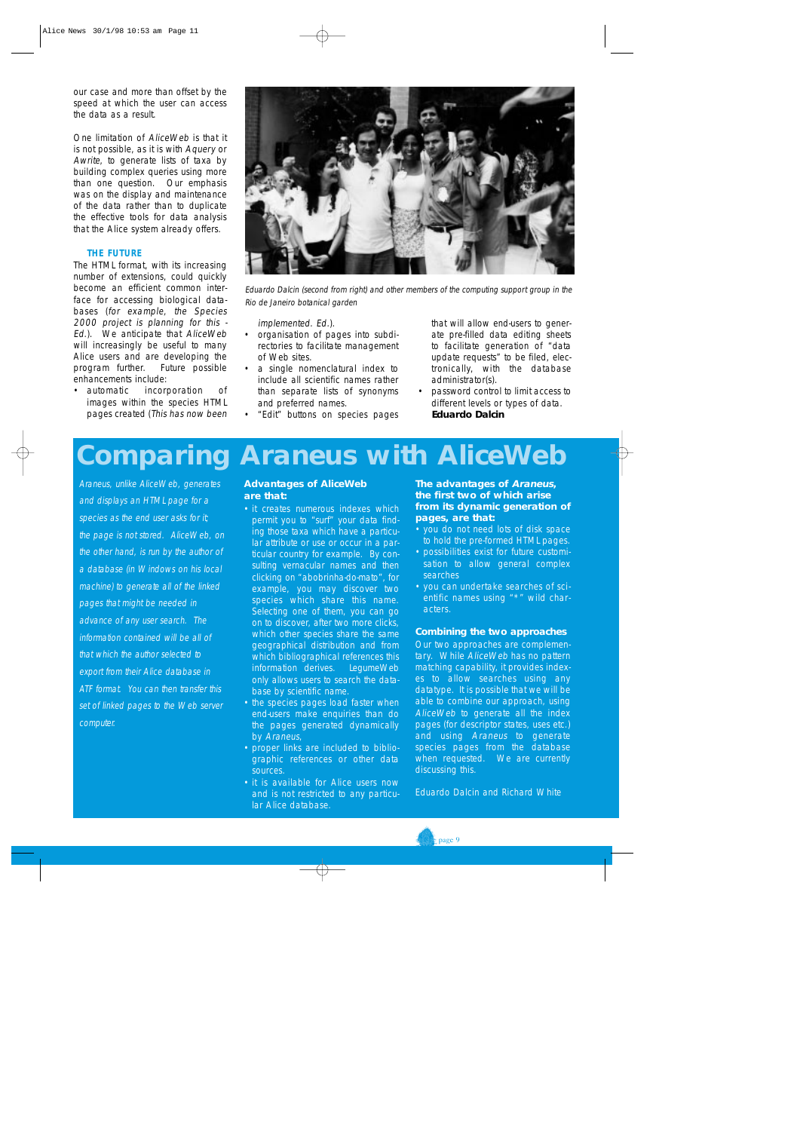our case and more than offset by the speed at which the user can access the data as a result.

One limitation of AliceWeb is that it is not possible, as it is with Aquery or Awrite, to generate lists of taxa by building complex queries using more than one question. Our emphasis was on the display and maintenance of the data rather than to duplicate the effective tools for data analysis that the Alice system already offers.

#### **THE FUTURE**

The HTML format, with its increasing number of extensions, could quickly become an efficient common interface for accessing biological databases (for example, the Species 2000 project is planning for this - Ed.). We anticipate that AliceWeb will increasingly be useful to many Alice users and are developing the program further. Future possible enhancements include:

• automatic incorporation of images within the species HTML pages created (This has now been



Eduardo Dalcin (second from right) and other members of the computing support group in the Rio de Janeiro botanical garden

implemented. Ed.).

- organisation of pages into subdirectories to facilitate management of Web sites.
- a single nomenclatural index to include all scientific names rather than separate lists of synonyms and preferred names.
- "Edit" buttons on species pages

that will allow end-users to generate pre-filled data editing sheets to facilitate generation of "data update requests" to be filed, electronically, with the database administrator(s).

• password control to limit access to different levels or types of data. **Eduardo Dalcin**

# **Comparing Araneus with AliceWeb**

Araneus, unlike AliceWeb, generates and displays an HTML page for a species as the end user asks for it; the page is not stored. AliceWeb, on the other hand, is run by the author of a database (in Windows on his local machine) to generate all of the linked pages that might be needed in advance of any user search. The information contained will be all of that which the author selected to export from their Alice database in ATF format. You can then transfer this set of linked pages to the Web server computer.

#### **Advantages of AliceWeb are that:**

- it creates numerous indexes which permit you to "surf" your data finding those taxa which have a particular attribute or use or occur in a particular country for example. By consulting vernacular names and then clicking on "abobrinha-do-mato", for example, you may discover two species which share this name. Selecting one of them, you can go on to discover, after two more clicks, which other species share the same geographical distribution and from which bibliographical references this information derives. LegumeWeb only allows users to search the database by scientific name.
- the species pages load faster when end-users make enquiries than do the pages generated dynamically by Araneus,
- proper links are included to bibliographic references or other data sources.
- it is available for Alice users now and is not restricted to any particular Alice database.

#### **The advantages of Araneus, the first two of which arise from its dynamic generation of pages, are that:**

- you do not need lots of disk space to hold the pre-formed HTML pages.
- possibilities exist for future customisation to allow general complex searches
- you can undertake searches of scientific names using "\*" wild characters.

#### **Combining the two approaches**

Our two approaches are complementary. While AliceWeb has no pattern matching capability, it provides indexes to allow searches using any datatype. It is possible that we will be able to combine our approach, using AliceWeb to generate all the index pages (for descriptor states, uses etc.) and using Araneus to generate species pages from the database when requested. We are currently discussing this.

Eduardo Dalcin and Richard White

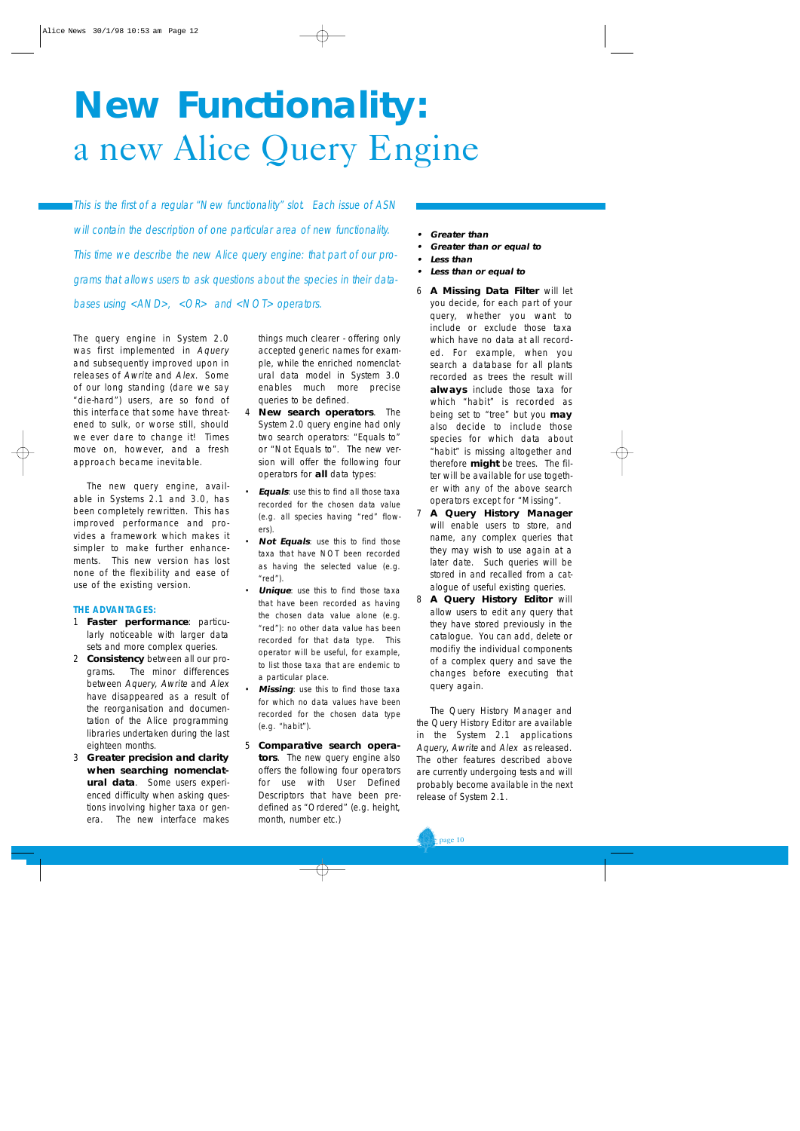# **New Functionality:**  a new Alice Query Engine

This is the first of a regular "New functionality" slot. Each issue of ASN will contain the description of one particular area of new functionality. This time we describe the new Alice query engine: that part of our programs that allows users to ask questions about the species in their databases using <AND>, <OR> and <NOT> operators.

The query engine in System 2.0 was first implemented in Aquery and subsequently improved upon in releases of Awrite and Alex. Some of our long standing (dare we say "die-hard") users, are so fond of this interface that some have threatened to sulk, or worse still, should we ever dare to change it! Times move on, however, and a fresh approach became inevitable.

The new query engine, available in Systems 2.1 and 3.0, has been completely rewritten. This has improved performance and provides a framework which makes it simpler to make further enhancements. This new version has lost none of the flexibility and ease of use of the existing version.

#### **THE ADVANTAGES:**

- 1 **Faster performance**: particularly noticeable with larger data sets and more complex queries.
- 2 **Consistency** between all our programs. The minor differences between Aquery, Awrite and Alex have disappeared as a result of the reorganisation and documentation of the Alice programming libraries undertaken during the last eighteen months.
- 3 **Greater precision and clarity when searching nomenclatural data**. Some users experienced difficulty when asking questions involving higher taxa or genera. The new interface makes

things much clearer - offering only accepted generic names for example, while the enriched nomenclatural data model in System 3.0 enables much more precise queries to be defined.

- **New search operators**. The System 2.0 query engine had only two search operators: "Equals to" or "Not Equals to". The new version will offer the following four operators for **all** data types:
- **Equals:** use this to find all those taxa recorded for the chosen data value (e.g. all species having "red" flowers).
- **Not Equals:** use this to find those taxa that have NOT been recorded as having the selected value (e.g. "red").
- **Unique**: use this to find those taxa that have been recorded as having the chosen data value alone (e.g. "red"): no other data value has been recorded for that data type. This operator will be useful, for example, to list those taxa that are endemic to a particular place.
- **Missing:** use this to find those taxa for which no data values have been recorded for the chosen data type (e.g. "habit").
- 5 **Comparative search operators**. The new query engine also offers the following four operators for use with User Defined Descriptors that have been predefined as "Ordered" (e.g. height, month, number etc.)
- **•Greater than**
- **•Greater than or equal to**
- **•Less than**
- **•Less than or equal to**
- 6 **A Missing Data Filter** will let you decide, for each part of your query, whether you want to include or exclude those taxa which have no data at all recorded. For example, when you search a database for all plants recorded as trees the result will **always** include those taxa for which "habit" is recorded as being set to "tree" but you **may** also decide to include those species for which data about "habit" is missing altogether and therefore **might** be trees. The filter will be available for use together with any of the above search operators except for "Missing".
- 7 **A Query History Manager** will enable users to store, and name, any complex queries that they may wish to use again at a later date. Such queries will be stored in and recalled from a catalogue of useful existing queries.
- 8 **A Query History Editor** will allow users to edit any query that they have stored previously in the catalogue. You can add, delete or modifiy the individual components of a complex query and save the changes before executing that query again.

The Query History Manager and the Query History Editor are available in the System 2.1 applications Aquery, Awrite and Alex as released. The other features described above are currently undergoing tests and will probably become available in the next release of System 2.1.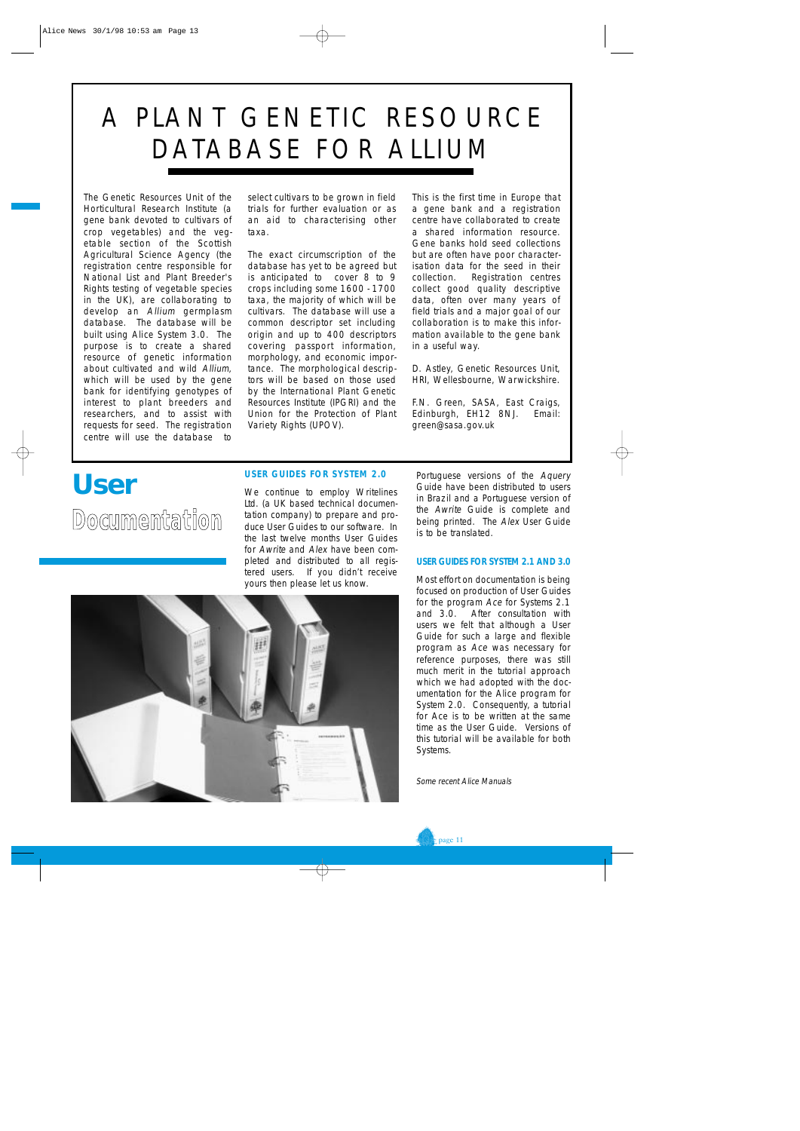# A PLANT GENETIC RESOURCE DATABASE FOR ALLIUM

The Genetic Resources Unit of the Horticultural Research Institute (a gene bank devoted to cultivars of crop vegetables) and the vegetable section of the Scottish Agricultural Science Agency (the registration centre responsible for National List and Plant Breeder's Rights testing of vegetable species in the UK), are collaborating to develop an Allium germplasm database. The database will be built using Alice System 3.0. The purpose is to create a shared resource of genetic information about cultivated and wild Allium, which will be used by the gene bank for identifying genotypes of interest to plant breeders and researchers, and to assist with requests for seed. The registration centre will use the database to

select cultivars to be grown in field trials for further evaluation or as an aid to characterising other taxa.

The exact circumscription of the database has yet to be agreed but is anticipated to cover 8 to 9 crops including some 1600 - 1700 taxa, the majority of which will be cultivars. The database will use a common descriptor set including origin and up to 400 descriptors covering passport information, morphology, and economic importance. The morphological descriptors will be based on those used by the International Plant Genetic Resources Institute (IPGRI) and the Union for the Protection of Plant Variety Rights (UPOV).

This is the first time in Europe that a gene bank and a registration centre have collaborated to create a shared information resource. Gene banks hold seed collections but are often have poor characterisation data for the seed in their collection. Registration centres collect good quality descriptive data, often over many years of field trials and a major goal of our collaboration is to make this information available to the gene bank in a useful way.

D. Astley, Genetic Resources Unit, HRI, Wellesbourne, Warwickshire.

F.N. Green, SASA, East Craigs, Edinburgh, EH12 8NJ. Email: green@sasa.gov.uk

### **User**

**Documentation** 

#### **USER GUIDES FOR SYSTEM 2.0**

We continue to employ Writelines Ltd. (a UK based technical documentation company) to prepare and produce User Guides to our software. In the last twelve months User Guides for Awrite and Alex have been completed and distributed to all registered users. If you didn't receive yours then please let us know.



Portuguese versions of the Aquery Guide have been distributed to users in Brazil and a Portuguese version of the Awrite Guide is complete and being printed. The Alex User Guide is to be translated.

#### **USER GUIDES FOR SYSTEM 2.1 AND 3.0**

Most effort on documentation is being focused on production of User Guides for the program Ace for Systems 2.1 and 3.0. After consultation with users we felt that although a User Guide for such a large and flexible program as Ace was necessary for reference purposes, there was still much merit in the tutorial approach which we had adopted with the documentation for the Alice program for System 2.0. Consequently, a tutorial for Ace is to be written at the same time as the User Guide. Versions of this tutorial will be available for both Systems.

Some recent Alice Manuals

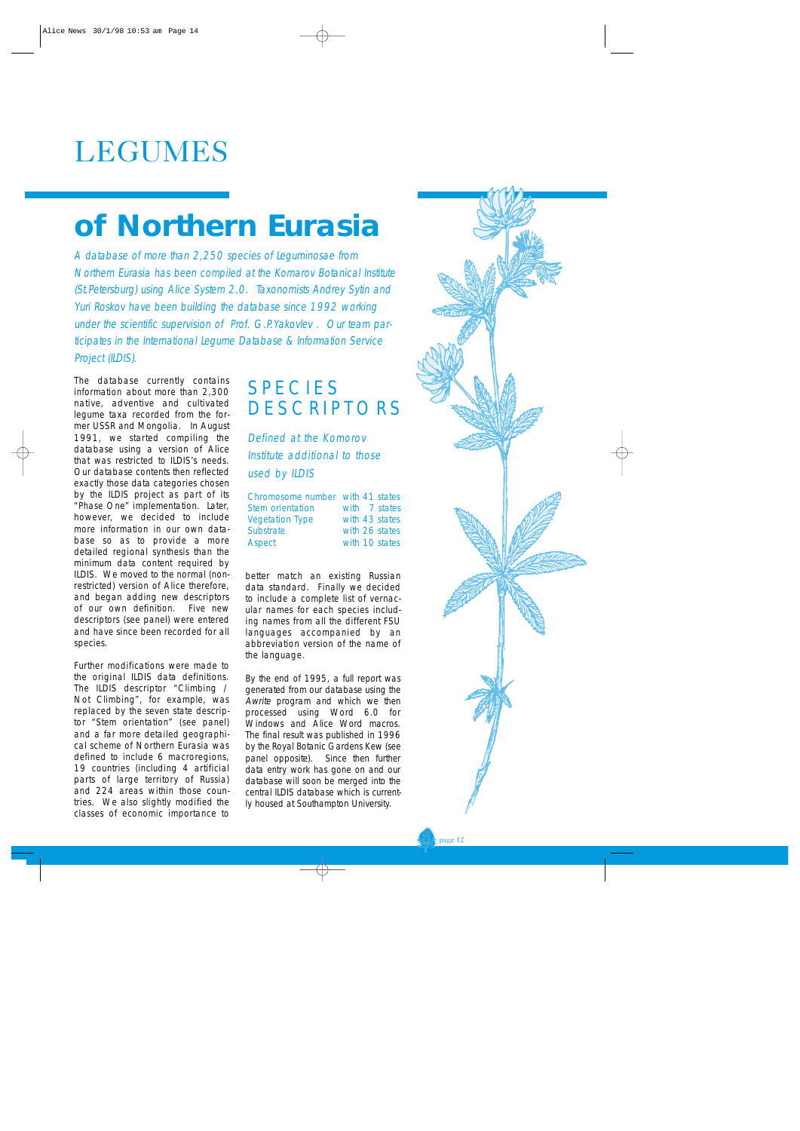# LEGUMES

# **of Northern Eurasia**

A database of more than 2,250 species of Leguminosae from Northern Eurasia has been compiled at the Komarov Botanical Institute (St.Petersburg) using Alice System 2.0. Taxonomists Andrey Sytin and Yuri Roskov have been building the database since 1992 working under the scientific supervision of Prof. G.P.Yakovlev . Our team participates in the International Legume Database & Information Service Project (ILDIS).

The database currently contains information about more than 2,300 native, adventive and cultivated legume taxa recorded from the former USSR and Mongolia. In August 1991, we started compiling the database using a version of Alice that was restricted to ILDIS's needs. Our database contents then reflected exactly those data categories chosen by the ILDIS project as part of its "Phase One" implementation. Later, however, we decided to include more information in our own database so as to provide a more detailed regional synthesis than the minimum data content required by ILDIS. We moved to the normal (nonrestricted) version of Alice therefore, and began adding new descriptors of our own definition. Five new descriptors (see panel) were entered and have since been recorded for all species.

Further modifications were made to the original ILDIS data definitions. The ILDIS descriptor "Climbing / Not Climbing", for example, was replaced by the seven state descriptor "Stem orientation" (see panel) and a far more detailed geographical scheme of Northern Eurasia was defined to include 6 macroregions, 19 countries (including 4 artificial parts of large territory of Russia) and 224 areas within those countries. We also slightly modified the classes of economic importance to

### SPECIES **DESCRIPTORS**

Defined at the Komorov Institute additional to those used by ILDIS

| Chromosome number with 41 states |  |                |
|----------------------------------|--|----------------|
| Stem orientation                 |  | with 7 states  |
| <b>Vegetation Type</b>           |  | with 43 states |
| Substrate                        |  | with 26 states |
| Aspect                           |  | with 10 states |

better match an existing Russian data standard. Finally we decided to include a complete list of vernacular names for each species including names from all the different FSU languages accompanied by an abbreviation version of the name of the language.

By the end of 1995, a full report was generated from our database using the Awrite program and which we then processed using Word 6.0 for Windows and Alice Word macros. The final result was published in 1996 by the Royal Botanic Gardens Kew (see panel opposite). Since then further data entry work has gone on and our database will soon be merged into the central ILDIS database which is currently housed at Southampton University.

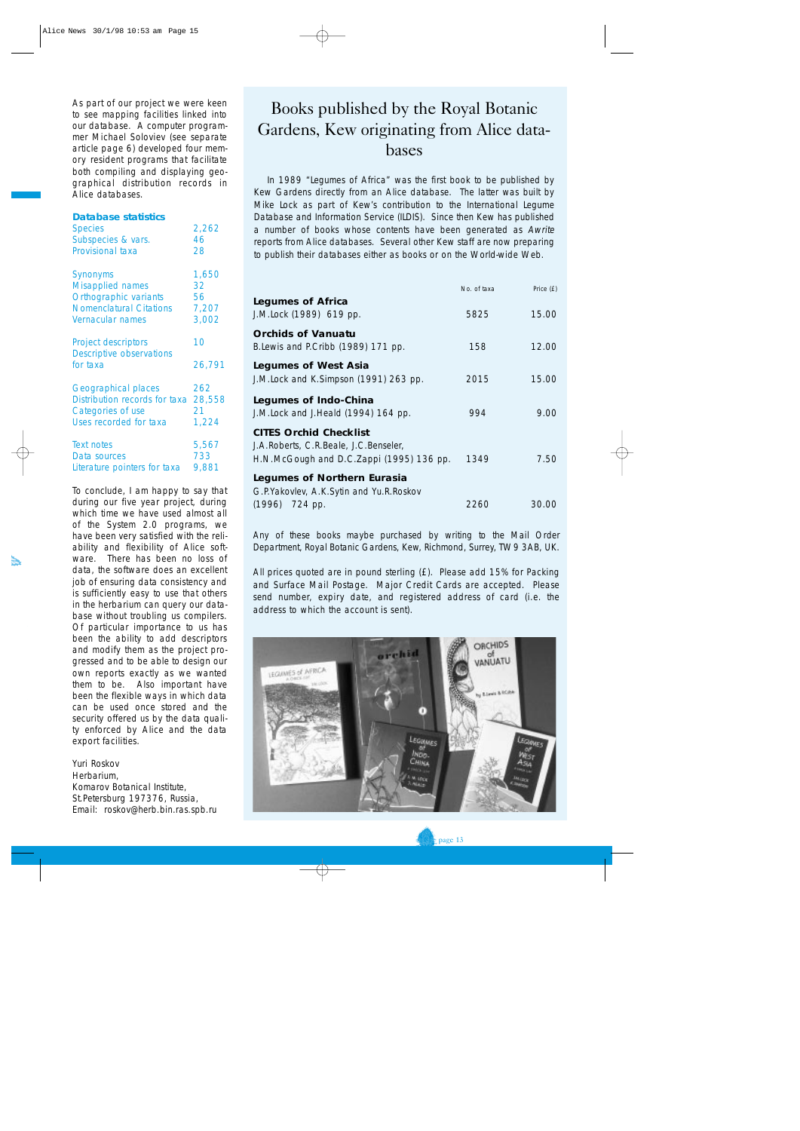As part of our project we were keen to see mapping facilities linked into our database. A computer programmer Michael Soloviev (see separate article page 6) developed four memory resident programs that facilitate both compiling and displaying geographical distribution records in Alice databases.

#### **Database statistics**

| <b>Species</b>                                                            | 2,262        |
|---------------------------------------------------------------------------|--------------|
| Subspecies & vars.                                                        | 46           |
| <b>Provisional taxa</b>                                                   | 28           |
| <b>Synonyms</b>                                                           | 1,650        |
| <b>Misapplied names</b>                                                   | 32           |
| Orthographic variants                                                     | 56           |
| <b>Nomenclatural Citations</b>                                            | 7,207        |
| Vernacular names                                                          | 3,002        |
| <b>Project descriptors</b><br><b>Descriptive observations</b><br>for taxa | 10<br>26,791 |
| <b>Geographical places</b>                                                | 262          |
| Distribution records for taxa                                             | 28,558       |
| Categories of use                                                         | 21           |
| Uses recorded for taxa                                                    | 1,224        |
| <b>Text notes</b>                                                         | 5,567        |
| Data sources                                                              | 733          |
| Literature pointers for taxa                                              | 9,881        |

To conclude, I am happy to say that during our five year project, during which time we have used almost all of the System 2.0 programs, we have been very satisfied with the reliability and flexibility of Alice software. There has been no loss of data, the software does an excellent job of ensuring data consistency and is sufficiently easy to use that others in the herbarium can query our database without troubling us compilers. Of particular importance to us has been the ability to add descriptors and modify them as the project progressed and to be able to design our own reports exactly as we wanted them to be. Also important have been the flexible ways in which data can be used once stored and the security offered us by the data quality enforced by Alice and the data export facilities.

Yuri Roskov Herbarium, Komarov Botanical Institute, St.Petersburg 197376, Russia, Email: roskov@herb.bin.ras.spb.ru

#### Books published by the Royal Botanic Gardens, Kew originating from Alice databases

In 1989 "Legumes of Africa" was the first book to be published by Kew Gardens directly from an Alice database. The latter was built by Mike Lock as part of Kew's contribution to the International Legume Database and Information Service (ILDIS). Since then Kew has published a number of books whose contents have been generated as Awrite reports from Alice databases. Several other Kew staff are now preparing to publish their databases either as books or on the World-wide Web.

|                                                                                                                    | No. of taxa | Price (£) |
|--------------------------------------------------------------------------------------------------------------------|-------------|-----------|
| <b>Legumes of Africa</b><br>J.M.Lock (1989) 619 pp.                                                                | 5825        | 15.00     |
| <b>Orchids of Vanuatu</b><br>B. Lewis and P. Cribb (1989) 171 pp.                                                  | 158         | 12.00     |
| <b>Legumes of West Asia</b><br>J.M.Lock and K.Simpson (1991) 263 pp.                                               | 2015        | 15.00     |
| Legumes of Indo-China<br>J.M.Lock and J.Heald (1994) 164 pp.                                                       | 994         | 9.00      |
| <b>CITES Orchid Checklist</b><br>J.A.Roberts, C.R.Beale, J.C.Benseler,<br>H.N.McGough and D.C.Zappi (1995) 136 pp. | 1349        | 7.50      |
| Legumes of Northern Eurasia<br>G.P. Yakovlev, A.K. Sytin and Yu.R. Roskov                                          |             |           |
| (1996) 724 pp.                                                                                                     | 2260        | 30.00     |

Any of these books maybe purchased by writing to the Mail Order Department, Royal Botanic Gardens, Kew, Richmond, Surrey, TW9 3AB, UK.

All prices quoted are in pound sterling (£). Please add 15% for Packing and Surface Mail Postage. Major Credit Cards are accepted. Please send number, expiry date, and registered address of card (i.e. the address to which the account is sent).

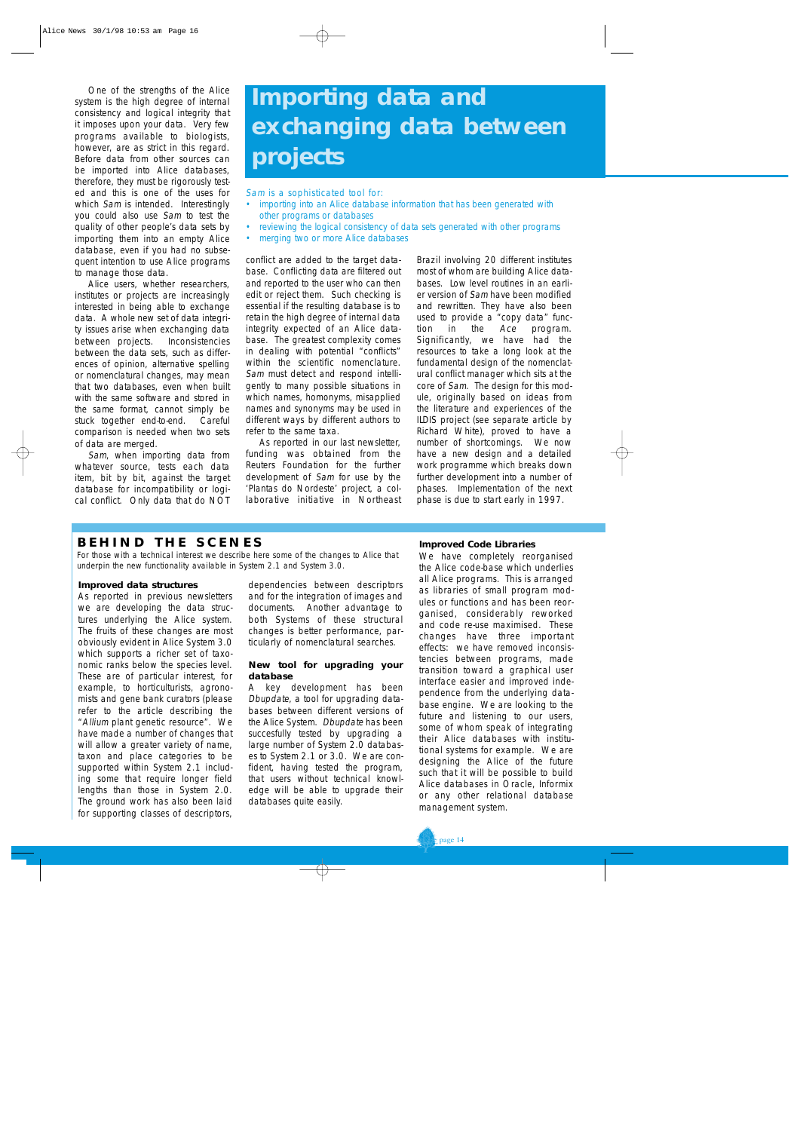One of the strengths of the Alice system is the high degree of internal consistency and logical integrity that it imposes upon your data. Very few programs available to biologists, however, are as strict in this regard. Before data from other sources can be imported into Alice databases, therefore, they must be rigorously tested and this is one of the uses for which Sam is intended. Interestingly you could also use Sam to test the quality of other people's data sets by importing them into an empty Alice database, even if you had no subsequent intention to use Alice programs to manage those data.

Alice users, whether researchers, institutes or projects are increasingly interested in being able to exchange data. A whole new set of data integrity issues arise when exchanging data between projects. Inconsistencies between the data sets, such as differences of opinion, alternative spelling or nomenclatural changes, may mean that two databases, even when built with the same software and stored in the same format, cannot simply be stuck together end-to-end. Careful comparison is needed when two sets of data are merged.

Sam, when importing data from whatever source, tests each data item, bit by bit, against the target database for incompatibility or logical conflict. Only data that do NOT

## **Importing data and exchanging data between projects**

Sam is a sophisticated tool for:

- importing into an Alice database information that has been generated with other programs or databases
- reviewing the logical consistency of data sets generated with other programs
- merging two or more Alice databases

conflict are added to the target database. Conflicting data are filtered out and reported to the user who can then edit or reject them. Such checking is essential if the resulting database is to retain the high degree of internal data integrity expected of an Alice database. The greatest complexity comes in dealing with potential "conflicts" within the scientific nomenclature. Sam must detect and respond intelligently to many possible situations in which names, homonyms, misapplied names and synonyms may be used in different ways by different authors to refer to the same taxa.

As reported in our last newsletter, funding was obtained from the Reuters Foundation for the further development of Sam for use by the 'Plantas do Nordeste' project, a collaborative initiative in Northeast Brazil involving 20 different institutes most of whom are building Alice databases. Low level routines in an earlier version of Sam have been modified and rewritten. They have also been used to provide a "copy data" function in the Ace program. Significantly, we have had the resources to take a long look at the fundamental design of the nomenclatural conflict manager which sits at the core of Sam. The design for this module, originally based on ideas from the literature and experiences of the ILDIS project (see separate article by Richard White), proved to have a number of shortcomings. We now have a new design and a detailed work programme which breaks down further development into a number of phases. Implementation of the next phase is due to start early in 1997.

#### **BEHIND THE SCENES**

For those with a technical interest we describe here some of the changes to Alice that underpin the new functionality available in System 2.1 and System 3.0.

#### **Improved data structures**

As reported in previous newsletters we are developing the data structures underlying the Alice system. The fruits of these changes are most obviously evident in Alice System 3.0 which supports a richer set of taxonomic ranks below the species level. These are of particular interest, for example, to horticulturists, agronomists and gene bank curators (please refer to the article describing the "Allium plant genetic resource". We have made a number of changes that will allow a greater variety of name, taxon and place categories to be supported within System 2.1 including some that require longer field lengths than those in System 2.0. The ground work has also been laid for supporting classes of descriptors, dependencies between descriptors and for the integration of images and documents. Another advantage to both Systems of these structural changes is better performance, particularly of nomenclatural searches.

#### **New tool for upgrading your database**

A key development has been Dbupdate, a tool for upgrading databases between different versions of the Alice System. Dbupdate has been succesfully tested by upgrading a large number of System 2.0 databases to System 2.1 or 3.0. We are confident, having tested the program, that users without technical knowledge will be able to upgrade their databases quite easily.

#### **Improved Code Libraries**

We have completely reorganised the Alice code-base which underlies all Alice programs. This is arranged as libraries of small program modules or functions and has been reorganised, considerably reworked and code re-use maximised. These changes have three important effects: we have removed inconsistencies between programs, made transition toward a graphical user interface easier and improved independence from the underlying database engine. We are looking to the future and listening to our users, some of whom speak of integrating their Alice databases with institutional systems for example. We are designing the Alice of the future such that it will be possible to build Alice databases in Oracle, Informix or any other relational database management system.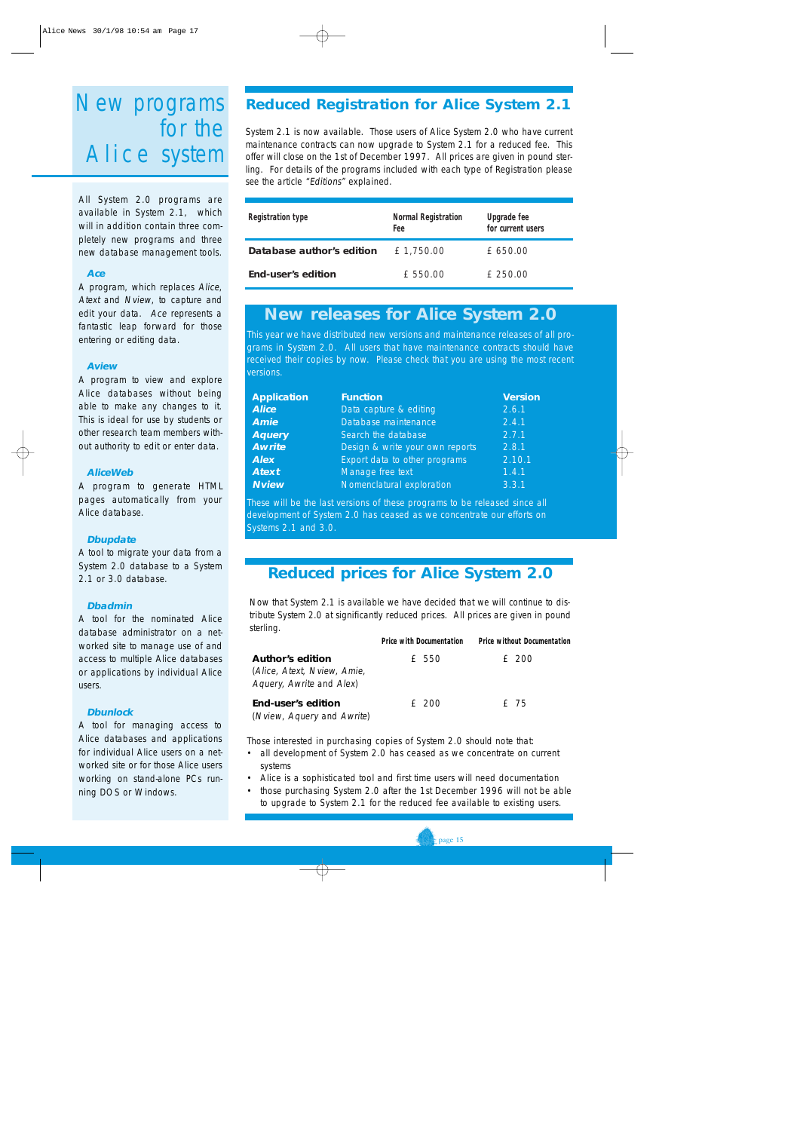### New programs for the Alice system

All System 2.0 programs are available in System 2.1, which will in addition contain three completely new programs and three new database management tools.

#### **Ace**

A program, which replaces Alice, Atext and Nview, to capture and edit your data. Ace represents a fantastic leap forward for those entering or editing data.

#### **Aview**

A program to view and explore Alice databases without being able to make any changes to it. This is ideal for use by students or other research team members without authority to edit or enter data.

#### **AliceWeb**

A program to generate HTML pages automatically from your Alice database.

#### **Dbupdate**

A tool to migrate your data from a System 2.0 database to a System 2.1 or 3.0 database.

#### **Dbadmin**

A tool for the nominated Alice database administrator on a networked site to manage use of and access to multiple Alice databases or applications by individual Alice users.

#### **Dbunlock**

A tool for managing access to Alice databases and applications for individual Alice users on a networked site or for those Alice users working on stand-alone PCs running DOS or Windows.

#### **Reduced Registration for Alice System 2.1**

System 2.1 is now available. Those users of Alice System 2.0 who have current maintenance contracts can now upgrade to System 2.1 for a reduced fee. This offer will close on the 1st of December 1997. All prices are given in pound sterling. For details of the programs included with each type of Registration please see the article "Editions" explained.

| <b>Registration type</b>  | <b>Normal Registration</b><br>Fee | <b>Upgrade fee</b><br>for current users |
|---------------------------|-----------------------------------|-----------------------------------------|
| Database author's edition | £1,750.00                         | £ 650.00                                |
| End-user's edition        | £ 550.00                          | £ 250.00                                |

#### **New releases for Alice System 2.0**

This year we have distributed new versions and maintenance releases of all programs in System 2.0. All users that have maintenance contracts should have received their copies by now. Please check that you are using the most recent versions.

| <b>Version</b> |
|----------------|
|                |
|                |
|                |
|                |
| 2.10.1         |
|                |
|                |
|                |

These will be the last versions of these programs to be released since all development of System 2.0 has ceased as we concentrate our efforts on Systems 2.1 and 3.0.

#### **Reduced prices for Alice System 2.0**

Now that System 2.1 is available we have decided that we will continue to distribute System 2.0 at significantly reduced prices. All prices are given in pound sterling.

|                                                           | <b>Price with Documentation</b> | <b>Price without Documentation</b> |
|-----------------------------------------------------------|---------------------------------|------------------------------------|
| Author <i>'</i> s edition                                 | £ 550                           | £ 200                              |
| (Alice, Atext, Nview, Amie,<br>Aquery, Awrite and Alex)   |                                 |                                    |
| End-user <i>'</i> s edition<br>(Nview, Aquery and Awrite) | £ 200                           | f 75                               |

Those interested in purchasing copies of System 2.0 should note that:

- all development of System 2.0 has ceased as we concentrate on current systems
- Alice is a sophisticated tool and first time users will need documentation
- those purchasing System 2.0 after the 1st December 1996 will not be able to upgrade to System 2.1 for the reduced fee available to existing users.